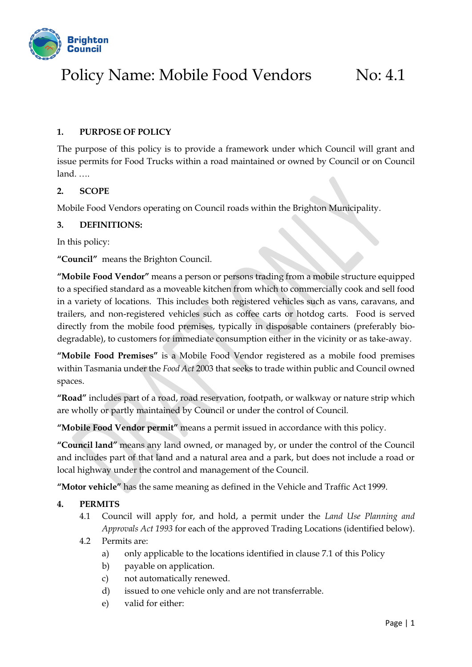

# Policy Name: Mobile Food Vendors No: 4.1

## **1. PURPOSE OF POLICY**

The purpose of this policy is to provide a framework under which Council will grant and issue permits for Food Trucks within a road maintained or owned by Council or on Council land. ….

## **2. SCOPE**

Mobile Food Vendors operating on Council roads within the Brighton Municipality.

### **3. DEFINITIONS:**

In this policy:

**"Council"** means the Brighton Council.

**"Mobile Food Vendor"** means a person or persons trading from a mobile structure equipped to a specified standard as a moveable kitchen from which to commercially cook and sell food in a variety of locations. This includes both registered vehicles such as vans, caravans, and trailers, and non-registered vehicles such as coffee carts or hotdog carts. Food is served directly from the mobile food premises, typically in disposable containers (preferably biodegradable), to customers for immediate consumption either in the vicinity or as take-away.

**"Mobile Food Premises"** is a Mobile Food Vendor registered as a mobile food premises within Tasmania under the *Food Act* 2003 that seeks to trade within public and Council owned spaces.

**"Road"** includes part of a road, road reservation, footpath, or walkway or nature strip which are wholly or partly maintained by Council or under the control of Council.

**"Mobile Food Vendor permit"** means a permit issued in accordance with this policy.

**"Council land"** means any land owned, or managed by, or under the control of the Council and includes part of that land and a natural area and a park, but does not include a road or local highway under the control and management of the Council.

**"Motor vehicle"** has the same meaning as defined in the Vehicle and Traffic Act 1999.

### **4. PERMITS**

- 4.1 Council will apply for, and hold, a permit under the *Land Use Planning and Approvals Act 1993* for each of the approved Trading Locations (identified below).
- 4.2 Permits are:
	- a) only applicable to the locations identified in clause 7.1 of this Policy
	- b) payable on application.
	- c) not automatically renewed.
	- d) issued to one vehicle only and are not transferrable.
	- e) valid for either: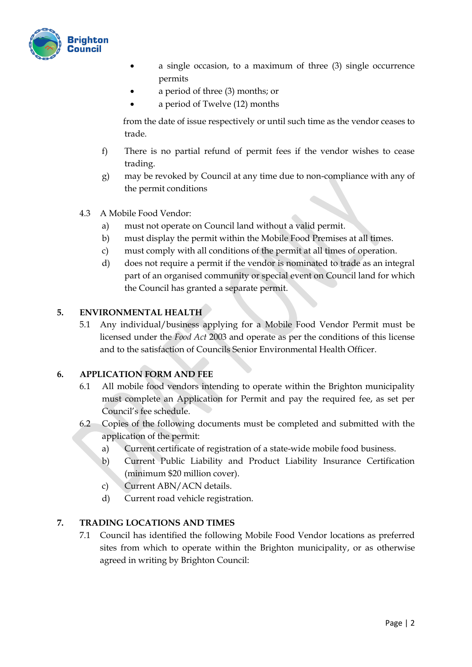

- a single occasion, to a maximum of three (3) single occurrence permits
- a period of three (3) months; or
	- a period of Twelve (12) months

from the date of issue respectively or until such time as the vendor ceases to trade.

- f) There is no partial refund of permit fees if the vendor wishes to cease trading.
- g) may be revoked by Council at any time due to non-compliance with any of the permit conditions
- 4.3 A Mobile Food Vendor:
	- a) must not operate on Council land without a valid permit.
	- b) must display the permit within the Mobile Food Premises at all times.
	- c) must comply with all conditions of the permit at all times of operation.
	- d) does not require a permit if the vendor is nominated to trade as an integral part of an organised community or special event on Council land for which the Council has granted a separate permit.

## **5. ENVIRONMENTAL HEALTH**

5.1 Any individual/business applying for a Mobile Food Vendor Permit must be licensed under the *Food Act* 2003 and operate as per the conditions of this license and to the satisfaction of Councils Senior Environmental Health Officer.

## **6. APPLICATION FORM AND FEE**

- 6.1 All mobile food vendors intending to operate within the Brighton municipality must complete an Application for Permit and pay the required fee, as set per Council's fee schedule.
- 6.2 Copies of the following documents must be completed and submitted with the application of the permit:
	- a) Current certificate of registration of a state-wide mobile food business.
	- b) Current Public Liability and Product Liability Insurance Certification (minimum \$20 million cover).
	- c) Current ABN/ACN details.
	- d) Current road vehicle registration.

## **7. TRADING LOCATIONS AND TIMES**

7.1 Council has identified the following Mobile Food Vendor locations as preferred sites from which to operate within the Brighton municipality, or as otherwise agreed in writing by Brighton Council: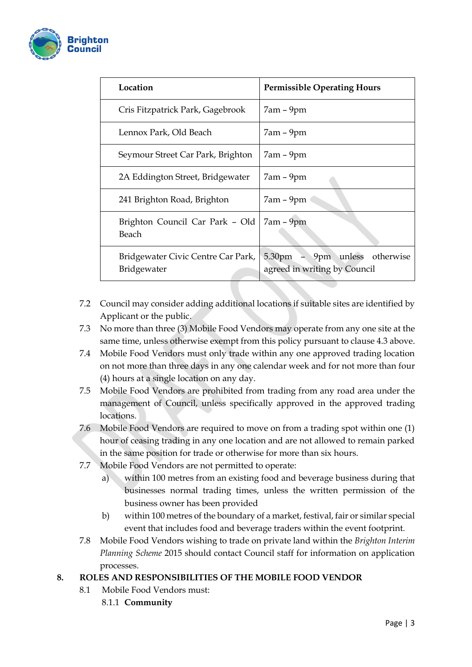

| Location                                          | <b>Permissible Operating Hours</b>                                            |
|---------------------------------------------------|-------------------------------------------------------------------------------|
| Cris Fitzpatrick Park, Gagebrook                  | $7am - 9pm$                                                                   |
| Lennox Park, Old Beach                            | $7am - 9pm$                                                                   |
| Seymour Street Car Park, Brighton                 | $7am - 9pm$                                                                   |
| 2A Eddington Street, Bridgewater                  | $7am - 9pm$                                                                   |
| 241 Brighton Road, Brighton                       | $7am - 9pm$                                                                   |
| Brighton Council Car Park - Old<br>Beach          | $7am - 9pm$                                                                   |
| Bridgewater Civic Centre Car Park,<br>Bridgewater | unless otherwise<br>9 <sub>pm</sub><br>5.30pm<br>agreed in writing by Council |

- 7.2 Council may consider adding additional locations if suitable sites are identified by Applicant or the public.
- 7.3 No more than three (3) Mobile Food Vendors may operate from any one site at the same time, unless otherwise exempt from this policy pursuant to clause 4.3 above.
- 7.4 Mobile Food Vendors must only trade within any one approved trading location on not more than three days in any one calendar week and for not more than four (4) hours at a single location on any day.
- 7.5 Mobile Food Vendors are prohibited from trading from any road area under the management of Council, unless specifically approved in the approved trading locations.
- 7.6 Mobile Food Vendors are required to move on from a trading spot within one (1) hour of ceasing trading in any one location and are not allowed to remain parked in the same position for trade or otherwise for more than six hours.
- 7.7 Mobile Food Vendors are not permitted to operate:
	- a) within 100 metres from an existing food and beverage business during that businesses normal trading times, unless the written permission of the business owner has been provided
	- b) within 100 metres of the boundary of a market, festival, fair or similar special event that includes food and beverage traders within the event footprint.
- 7.8 Mobile Food Vendors wishing to trade on private land within the *Brighton Interim Planning Scheme* 2015 should contact Council staff for information on application processes.

## **8. ROLES AND RESPONSIBILITIES OF THE MOBILE FOOD VENDOR**

- 8.1 Mobile Food Vendors must:
	- 8.1.1 **Community**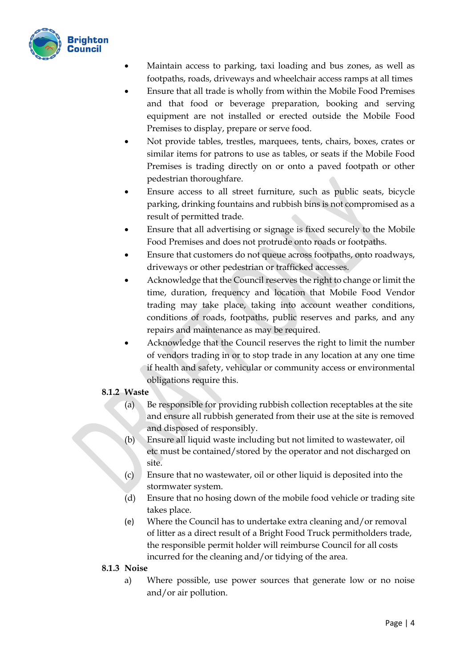

- Maintain access to parking, taxi loading and bus zones, as well as footpaths, roads, driveways and wheelchair access ramps at all times
- Ensure that all trade is wholly from within the Mobile Food Premises and that food or beverage preparation, booking and serving equipment are not installed or erected outside the Mobile Food Premises to display, prepare or serve food.
- Not provide tables, trestles, marquees, tents, chairs, boxes, crates or similar items for patrons to use as tables, or seats if the Mobile Food Premises is trading directly on or onto a paved footpath or other pedestrian thoroughfare.
- Ensure access to all street furniture, such as public seats, bicycle parking, drinking fountains and rubbish bins is not compromised as a result of permitted trade.
- Ensure that all advertising or signage is fixed securely to the Mobile Food Premises and does not protrude onto roads or footpaths.
- Ensure that customers do not queue across footpaths, onto roadways, driveways or other pedestrian or trafficked accesses.
- Acknowledge that the Council reserves the right to change or limit the time, duration, frequency and location that Mobile Food Vendor trading may take place, taking into account weather conditions, conditions of roads, footpaths, public reserves and parks, and any repairs and maintenance as may be required.
- Acknowledge that the Council reserves the right to limit the number of vendors trading in or to stop trade in any location at any one time if health and safety, vehicular or community access or environmental obligations require this.

## **8.1.2 Waste**

- (a) Be responsible for providing rubbish collection receptables at the site and ensure all rubbish generated from their use at the site is removed and disposed of responsibly.
- (b) Ensure all liquid waste including but not limited to wastewater, oil etc must be contained/stored by the operator and not discharged on site.
- (c) Ensure that no wastewater, oil or other liquid is deposited into the stormwater system.
- (d) Ensure that no hosing down of the mobile food vehicle or trading site takes place.
- (e) Where the Council has to undertake extra cleaning and/or removal of litter as a direct result of a Bright Food Truck permitholders trade, the responsible permit holder will reimburse Council for all costs incurred for the cleaning and/or tidying of the area.

## **8.1.3 Noise**

a) Where possible, use power sources that generate low or no noise and/or air pollution.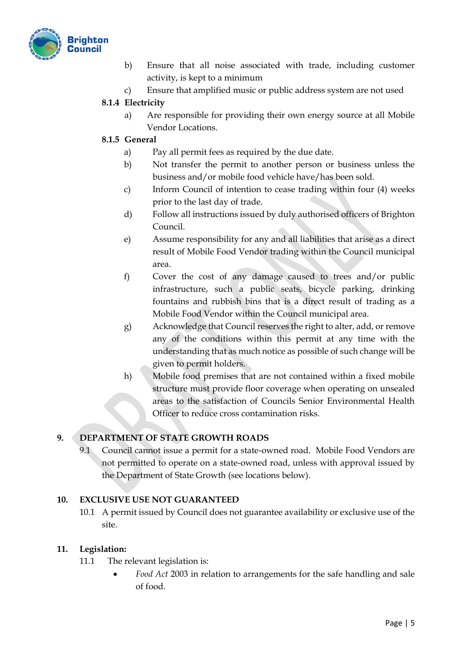

- b) Ensure that all noise associated with trade, including customer activity, is kept to a minimum
- c) Ensure that amplified music or public address system are not used

## **8.1.4 Electricity**

a) Are responsible for providing their own energy source at all Mobile Vendor Locations.

## **8.1.5 General**

- a) Pay all permit fees as required by the due date.
- b) Not transfer the permit to another person or business unless the business and/or mobile food vehicle have/has been sold.
- c) Inform Council of intention to cease trading within four (4) weeks prior to the last day of trade.
- d) Follow all instructions issued by duly authorised officers of Brighton Council.
- e) Assume responsibility for any and all liabilities that arise as a direct result of Mobile Food Vendor trading within the Council municipal area.
- f) Cover the cost of any damage caused to trees and/or public infrastructure, such a public seats, bicycle parking, drinking fountains and rubbish bins that is a direct result of trading as a Mobile Food Vendor within the Council municipal area.
- g) Acknowledge that Council reserves the right to alter, add, or remove any of the conditions within this permit at any time with the understanding that as much notice as possible of such change will be given to permit holders.
- h) Mobile food premises that are not contained within a fixed mobile structure must provide floor coverage when operating on unsealed areas to the satisfaction of Councils Senior Environmental Health Officer to reduce cross contamination risks.

## **9. DEPARTMENT OF STATE GROWTH ROADS**

9.1 Council cannot issue a permit for a state-owned road. Mobile Food Vendors are not permitted to operate on a state-owned road, unless with approval issued by the Department of State Growth (see locations below).

## **10. EXCLUSIVE USE NOT GUARANTEED**

10.1 A permit issued by Council does not guarantee availability or exclusive use of the site.

## **11. Legislation:**

- 11.1 The relevant legislation is:
	- *Food Act* 2003 in relation to arrangements for the safe handling and sale of food.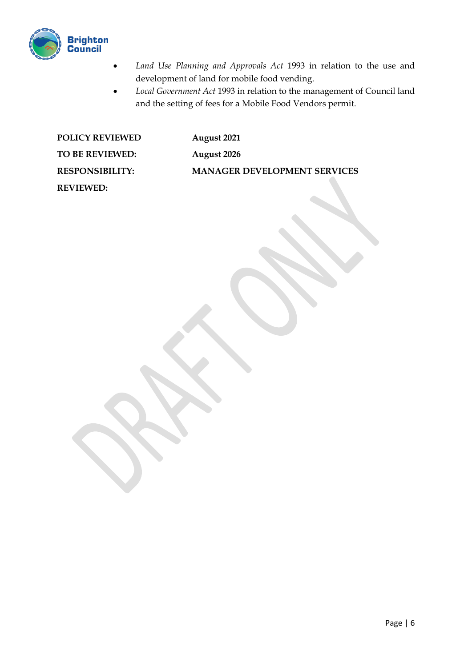

- *Land Use Planning and Approvals Act* 1993 in relation to the use and development of land for mobile food vending.
- *Local Government Act* 1993 in relation to the management of Council land and the setting of fees for a Mobile Food Vendors permit.

| <b>POLICY REVIEWED</b> | August 2021                         |
|------------------------|-------------------------------------|
| TO BE REVIEWED:        | August 2026                         |
| <b>RESPONSIBILITY:</b> | <b>MANAGER DEVELOPMENT SERVICES</b> |
| <b>REVIEWED:</b>       |                                     |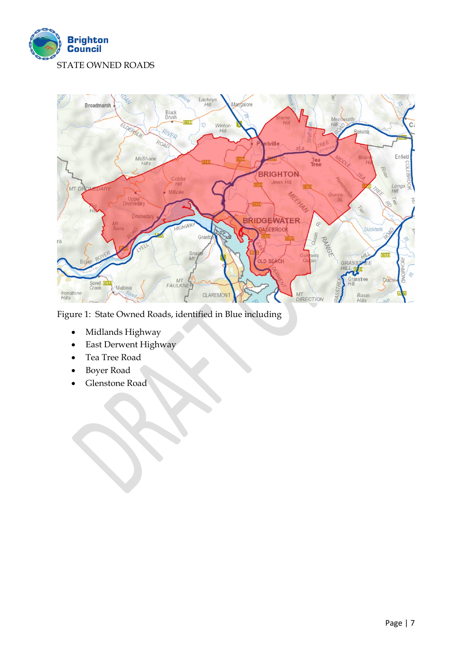



Figure 1: State Owned Roads, identified in Blue including

- Midlands Highway
- East Derwent Highway
- Tea Tree Road
- Boyer Road
- Glenstone Road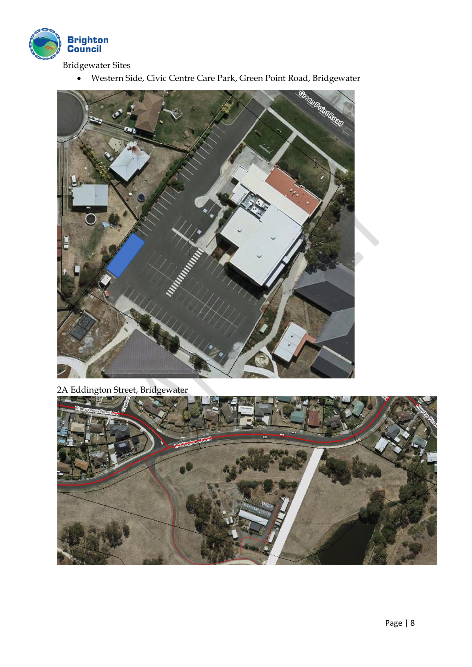

Bridgewater Sites

• Western Side, Civic Centre Care Park, Green Point Road, Bridgewater



2A Eddington Street, Bridgewater

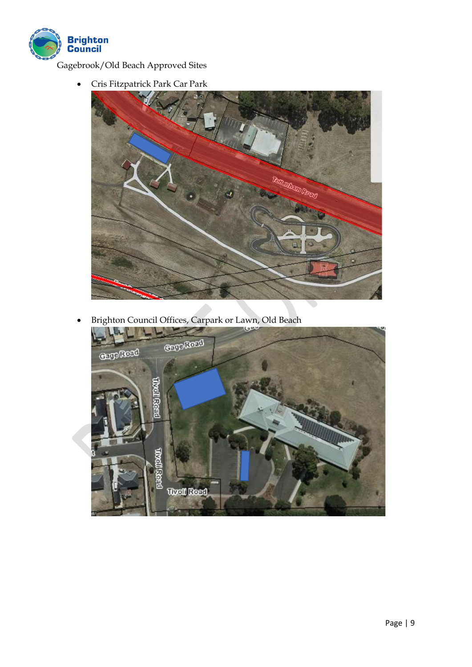

Gagebrook/Old Beach Approved Sites

• Cris Fitzpatrick Park Car Park



• Brighton Council Offices, Carpark or Lawn, Old Beach

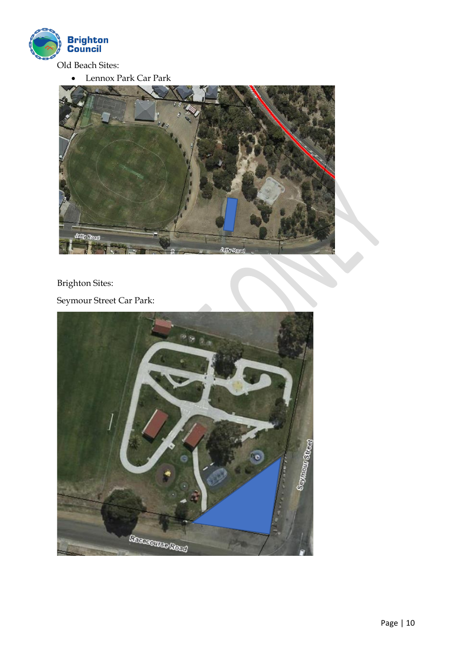

• Lennox Park Car Park

ிபிலா

## Brighton Sites:

delly Road

Seymour Street Car Park: